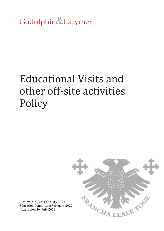Godolphin&Latymer

# Educational Visits and other off-site activities Policy



Reviewer: JC/CM February 2022 Education Committee: February 2022 Next review by: July 2023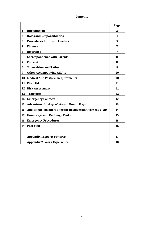## **Contents**

|                         |                                                                  | Page                    |
|-------------------------|------------------------------------------------------------------|-------------------------|
| $\mathbf{1}$            | <b>Introduction</b>                                              | 3                       |
| $\overline{2}$          | <b>Roles and Responsibilities</b>                                | $\overline{\mathbf{4}}$ |
| 3                       | <b>Procedures for Group Leaders</b>                              | 5                       |
| $\overline{\mathbf{4}}$ | <b>Finance</b>                                                   | 7                       |
| 5                       | <b>Insurance</b>                                                 | 7                       |
| 6                       | <b>Correspondence with Parents</b>                               | 8                       |
| 7                       | <b>Consent</b>                                                   | 8                       |
| 8                       | <b>Supervision and Ratios</b>                                    | 9                       |
| 9                       | <b>Other Accompanying Adults</b>                                 | 10                      |
| 10                      | <b>Medical And Pastoral Requirements</b>                         | 10                      |
| 11                      | <b>First Aid</b>                                                 | 11                      |
| 12                      | <b>Risk Assessment</b>                                           | 11                      |
| 13                      | <b>Transport</b>                                                 | 12                      |
| 14                      | <b>Emergency Contacts</b>                                        | 12                      |
| 15                      | <b>Adventure Holidays/Outward Bound Days</b>                     | 13                      |
| 16                      | <b>Additional Considerations for Residential/Overseas Visits</b> | 14                      |
| 17                      | <b>Homestays and Exchange Visits</b>                             | 15                      |
| 18                      | <b>Emergency Procedures</b>                                      | 15                      |
| 19                      | <b>Post Visit</b>                                                | 16                      |
|                         |                                                                  |                         |
|                         | <b>Appendix 1: Sports Fixtures</b>                               | 17                      |
|                         | <b>Appendix 2: Work Experience</b>                               | 18                      |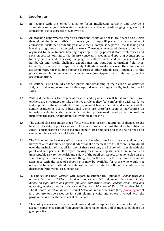## **1. Introduction**

- 1.1 In keeping with the School's aims to foster intellectual curiosity and provide a stimulating and enjoyable learning experience, an active and wide ranging programme of educational visits is crucial to what we do.
- 1.2 All teaching departments organise educational visits and these are offered to all girls throughout the School. Girls from every year group will participate in a number of educational visits per academic year as either a compulsory part of the teaching and learning programme or as an optional extra. These may include: whole year group visits organised by departments; bonding days organised by pastoral staff; conferences and revision courses; outings to the theatre, concerts, museums and sporting events; sports tours (domestic and overseas); language or cultural visits and exchanges; Duke of Edinburgh and World Challenge expeditions; and required curriculum field trips. Currently the school runs approximately 150 educational visits over the course of an academic year, not including sporting fixtures to other schools (see Appendix 1 to this policy) or pupils undertaking work experience (see Appendix 2 to this policy), which occur in addition.
- 1.3 Educational visits should enhance pupils' understanding of their curricular activities and/or provide opportunities to develop and enhance pupils' skills, including social skills.
- 1.4 Within departments the organisation and leading of visits will be shared and newer teachers are encouraged to take as active a role as they feel comfortable with. Guidance and support is always available from department heads, the EVC and members of the Senior Leadership Team. Educational visits are therefore seen as performing an important role in a staff member's ongoing professional development as well as furthering the learning opportunities available to the girls.
- 1.5 The School also recognises that off-site visits may present additional challenges to the health and safety of pupils and staff. All educational visits must therefore be subject to careful consideration of the associated benefit, risk and cost and must be planned and carried out in accordance with this policy.
- 1.6 The School will make every effort to ensure that educational visits are accessible to all, irrespective of disability or special educational or medical needs. If there is any doubt over the inclusion of a pupil for any of these reasons, the School will consult with the pupil and her parents. If, despite making reasonable adjustments, there remains an unacceptable risk to the health and safety of the pupil concerned, or anyone else on the visit, it may be necessary to exclude the girl from the visit on those grounds. Financial assistance with the cost of school visits may be available for those who would not otherwise be able to attend. Parents are invited to contact the Bursar in confidence to discuss their individual circumstances
- 1.7 This policy has been written with regard to current HSE guidance '*School trips and outdoor learning activities'* and takes into account DfE guidance: '*Health and Safety: Advice on legal duties and powers for local authorities, school leaders, school staff and governing bodies'*; and also *Health and Safety on Educational Visits* (November 2018). The Outdoor Education Advisers' Panel National Guidance website [\(http://oeapng.info/\)](http://oeapng.info/) is a comprehensive resource for staff planning visits and others involved with the programme of educational visits at the School.
- 1.8 This policy is reviewed on an annual basis and will be updated as necessary to take into account experience gained from visits that have taken place and changes to guidance on good practice.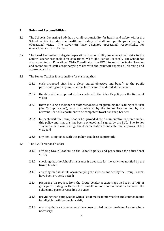### **2. Roles and Responsibilities**

- 2.1 The School's Governing Body has overall responsibility for health and safety within the School, which includes the health and safety of staff and pupils participating in educational visits. The Governors have delegated operational responsibility for educational visits to the Head.
- 2.2 The Head has further delegated operational responsibility for educational visits to the Senior Teacher responsible for educational visits (the 'Senior Teacher'). The School has also appointed an Educational Visits Coordinator (the 'EVC') to assist the Senior Teacher and members of staff accompanying visits with the practical aspects of planning and approving visits.
- 2.3 The Senior Teacher is responsible for ensuring that:
	- 2.3.1 each proposed visit has a clear, stated objective and benefit to the pupils participating and any unusual risk factors are considered at the outset;
	- 2.3.2 the date of the proposed visit accords with the School's policy on the timing of visits;
	- 2.3.3 there is a single member of staff responsible for planning and leading each visit (the 'Group Leader'), who is considered by the Senior Teacher and by the relevant Head of Department to be competent to act as Group Leader;
	- 2.3.4 for each visit, the Group Leader has provided the documentation required under this policy and that this has been reviewed and signed by the EVC. The Senior Teacher should counter-sign the documentation to indicate final approval of the visit; and
	- 2.3.5 any non-compliance with this policy is addressed promptly.
- 2.4 The EVC is responsible for:
	- 2.4.1 advising Group Leaders on the School's policy and procedures for educational visits;
	- 2.4.2 checking that the School's insurance is adequate for the activities notified by the Group Leader;
	- 2.4.3 ensuring that all adults accompanying the visit, as notified by the Group Leader, have been properly vetted;
	- 2.4.4 preparing, on request from the Group Leader, a custom group list on iSAMS of girls participating in the visit to enable smooth communication between the School and parents regarding the visit;
	- 2.4.5 providing the Group Leader with a list of medical information and contact details for all girls participating in a visit;
	- 2.4.6 ensuring that risk assessments have been carried out by the Group Leader where necessary;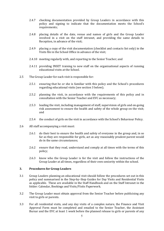- 2.4.7 checking documentation provided by Group Leaders in accordance with this policy and signing to indicate that the documentation meets the School's requirements;
- 2.4.8 placing details of the date, venue and names of girls and the Group Leader involved in a visit on the staff intranet, and providing the same details to Reception, in advance of the visit;
- 2.4.9 placing a copy of the visit documentation (checklist and contacts list only) in the Visits file in the School Office in advance of the visit;
- 2.4.10 meeting regularly with, and reporting to the Senior Teacher; and
- 2.4.11 providing INSET training to new staff on the organisational aspects of running educational visits at the School.
- 2.5 The Group Leader for each visit is responsible for:
	- 2.5.1 ensuring that he or she is familiar with this policy and the School's procedures regarding educational visits (see section 3 below);
	- 2.5.2 planning the visit, in accordance with the requirements of this policy and in consultation with the Senior Teacher and EVC as necessary;
	- 2.5.3 leading the visit, including management of staff, supervision of girls and on-going risk assessment to ensure the health and safety of the whole group on the visit; and
	- 2.5.4 the conduct of girls on the visit in accordance with the School's Behaviour Policy.
- 2.6 All staff accompanying a visit must:
	- 2.6.1 do their best to ensure the health and safety of everyone in the group and, in so far as they are responsible for girls, act as any reasonably prudent parent would do in the same circumstances;
	- 2.6.2 ensure that they read, understand and comply at all times with the terms of this policy;
	- 2.6.3 know who the Group Leader is for the visit and follow the instructions of the Group Leader at all times, regardless of their own seniority within the school.

#### **3. Procedures for Group Leaders**

- 3.1 Group Leaders planning an educational visit should follow the procedures set out in this policy and summarised in the Step-by–Step Guides for Day Visits and Residential Visits as applicable. These are available in the Staff Handbook and on the Staff Intranet in the folder: Calendar, Bookings and Visits/Visits Paperwork.
- 3.2 The Group Leader must obtain approval from the Senior Teacher before publicising any visit to girls or parents.
- 3.3 For all residential visits, and any day visits of a complex nature, the Finance and Visit Approval Form must be completed and emailed to the Senior Teacher, the Assistant Bursar and the EVC at least 1 week before the planned release to girls or parents of any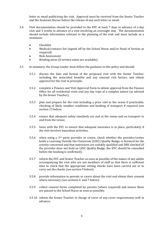letter or email publicising the visit. Approval must be received from the Senior Teacher and the Assistant Bursar before the release of any such letter or email.

- 3.4 Visit documentation should be provided to the EVC at least 7 days in advance of a day visit and 3 weeks in advance of a visit involving an overnight stay. The documentation should include information relevant to the planning of the visit and must include as a minimum:
	- Checklist
	- Medical/contacts list (signed off by the School Nurse and/or Head of Section as required)
	- Risk Assessment
	- Briefing notes (if written notes are available).
- 3.5 In summary, the Group Leader must follow the guidance in this policy and should:
	- 3.5.1 discuss the date and format of the proposed visit with the Senior Teacher, including the associated benefits and any unusual risk factors, and obtain approval for the visit in principle;
	- 3.5.2 complete a Finance and Visit Approval Form to obtain approval from the Finance Office for all residential visits and any day trips of a complex nature (as advised by the Senior Teacher);
	- 3.5.3 plan and prepare for the visit including a prior visit to the venue if practicable, checking of likely weather conditions and booking of transport if required (see section 13 below;
	- 3.5.4 ensure that adequate safety standards are met at the venue and on transport to and from the venue;
	- 3.5.5 liaise with the EVC to ensure that adequate insurance is in place, particularly if the visit involves hazardous activities;
	- 3.5.6 when using a  $3<sup>rd</sup>$  party provider or centre, check whether the provider/centre holds a Learning Outside the Classroom (LOtC) Quality Badge, is licensed for the activity concerned and that instructors are suitably qualified and DBS checked (if the provider does not hold an LOtC Quality Badge, the EVC should be consulted before the booking is confirmed);
	- 3.5.7 inform the EVC and Senior Teacher as soon as possible of the names of any adults accompanying the visit who are not members of staff so that there is sufficient time to check that the appropriate vetting checks have been carried out or to carry out the checks (see section 9 below);
	- 3.5.8 provide information to parents or carers about the visit and obtain their consent where necessary (see sections 6 and 7 below);
	- 3.5.9 collect consent forms completed by parents (where required) and ensure these are passed to the School Nurse as soon as possible;
	- 3.5.10 inform the Senior Teacher in charge of cover of any cover requirements well in advance;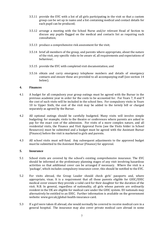- 3.5.11 provide the EVC with a list of all girls participating in the visit so that a custom group can be set up in isams and a list containing medical and contact details for each pupil can be produced;
- 3.5.12 arrange a meeting with the School Nurse and/or relevant Head of Section to discuss any pupils flagged on the medical and contacts list as requiring such consultation;
- 3.5.13 produce a comprehensive risk assessment for the visit;
- 3.5.14 brief all members of the group, and parents where appropriate, about the nature of the visit, any specific risks to be aware of, all requirements and expectations of behaviour;
- 3.5.15 provide the EVC with completed visit documentation; and
- 3.5.16 obtain and carry emergency telephone numbers and details of emergency contacts and ensure these are provided to all accompanying staff (see section 14 below).

### **4. Finances**

- 4.1 A budget for all compulsory year group outings must be agreed with the Bursar in the previous academic year in order for the costs to be accounted for. For Years 7, 8 and 9 the cost of such visits will be included in the school fees. For compulsory visits in Years 10 to Upper Sixth, the cost of the visit may be added to the termly bill or charged separately as agreed by the Bursar.
- 4.2 All optional outings should be carefully budgeted. Many visits will involve simple budgeting: for example, visits to the theatre or conferences where parents are asked to pay for the exact cost of the admission. For visits of a more complex nature, and all residential visits, the Finance and Visit Approval Form (see the Visits folder in School Resources) must be submitted and a budget must be agreed with the Assistant Bursar (Finance) before the visit is marketed to girls and parents.
- 4.3 All school visits must self-fund. Any subsequent adjustments to the approved budget must be submitted to the Assistant Bursar (Finance) for approval.

## **5. Insurance**

- 5.1 School visits are covered by the school's existing comprehensive insurance. The EVC should be informed at the preliminary planning stages of any visit involving hazardous activities so that additional cover can be arranged if necessary. Where the visit is a 'package', which includes compulsory insurance cover, this should be notified to the EVC.
- 5.2 For visits abroad, the Group Leader should check girls' passports and, where appropriate, visas. It is a requirement that all those parents eligible for GHIC/EHIC medical cover ensure they provide a valid card for their daughter for the duration of the visit. N.B. In general, regardless of nationality, all girls whose parents are ordinarily resident in the UK are eligible for medical care under the GHIC system. EU nationals may alternatively be entitled to an EHIC. Further information is available on the government website: www.gov.uk/global-health-insurance-card.
- 5.3 If a girl were taken ill abroad, she would normally be covered to receive medical care in a general hospital. The insurance may also cover private medical care abroad in some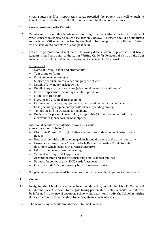circumstances and/or repatriation costs, provided the patient was well enough to travel. Private health care in the UK is not covered by the school insurance.

## **6. Correspondence with Parents**

- 6.1 Parents must be notified in advance in writing of all educational visits. For details of when consent must also be sought see section 7 below. All letters should be submitted to the School Office and authorised by the Senior Teacher prior to distribution.Letters will be send out to parents via Schoolpost email.
- 6.2 Letters to parents should include the following details, where appropriate, and Group Leaders should also refer to the Letter Writing Guide for Residential Visits on the Staff Intranet in the folder: Calendar, Bookings and Visits/Visits Paperwork.

## For any visit

- Name of Group Leader and other adults
- Year group or forms
- Date(s)/time(s)/venue(s)
- Subject / curriculum relevance and purpose of visit
- Details of any higher-risk activities
- Detail of any unsupervised time (n.b. should be kept to a minimum)
- Level of supervision, including remote supervision
- Mode(s) of transport
- Meeting and dispersal arrangements
- Clothing, food, money, equipment required, and that which is not permitted
- Cost (including supplementary costs such as spending money)
- Timeframe and instructions for payment
- Reply slip for parental permission, if applicable (this will be converted to an electronic response form in Schoolpost)

# Additional details for residential or overseas visits

(see also section 16 below)

- Electronic Consent Form (including a request for update on medical or dietary needs)
- How assessed risks will be managed, including the name of the travel company
- Insurance arrangements / cover (attach 'Residential Visits Points to Note' document which includes insurance summary)
- Information on any parental briefing
- Vaccinations required if appropriate
- Accommodation and security, including details of host families
- Request for copies of girls' EHIC cards/passports
- Cost to include 10% contingency fund for overseas visits
- 6.3 Supplementary, or amended, information should be provided to parents as necessary.

# **7. Consent**

- 7.1 In signing the School's Acceptance Form on admission, and via the School's Terms and Conditions, parents consent to the girls taking part in all educational visits. Parents will be informed in advance of upcoming school visits and should notify the School in writing if they do not wish their daughter to participate in a particular visit.
- 7.2 The school may seek additional consent for visits which: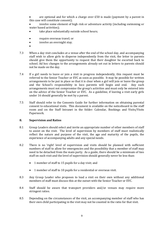are optional and for which a charge over  $£50$  is made (payment by a parent in this case will constitute consent);

- involve some element of high risk or adventure activity (including swimming or water based activities);
- take place substantially outside school hours;
- require overseas travel; or
- involve an overnight stay.
- •
- 7.3 When a day visit concludes at a venue after the end of the school day, and accompanying staff wish to allow girls to disperse independently from the visit, the letter to parents should give them the opportunity to request that their daughter be escorted back to school. Ad hoc changes to the arrangements already set out in letters to parents should not be made on the day.
- 7.4 If a girl needs to leave or join a visit in progress independently, this request must be referred to the Senior Teacher or EVC as soon as possible. It may be possible for written arrangements to be put in place so that it is clear when a girl will join or leave the group and the School's responsibility in loco parentis will begin and end. Any such arrangements must not compromise the group's activities and must only be entered into on the advice of the Senior Teacher or EVC. As a guideline, if leaving a visit early girls under 16 should generally be met by a parent.
- 7.5 Staff should refer to the Consents Guide for further information on obtaining parental consent to educational visits. This document is available on the noticeboard in the staff room and on the Staff Intranet in the folder: Calendar, Bookings and Visits/Visits Paperwork.

#### **8. Supervision and Ratios**

- 8.1 Group Leaders should select and invite an appropriate number of other members of staff to assist on the visit. The level of supervision by members of staff must realistically reflect the nature and purpose of the visit, the age and maturity of the pupils, the experience of accompanying adults and any special needs.
- 8.2 There is no 'right' level of supervision and visits should be planned with sufficient numbers of staff to allow for emergencies and the possibility that a member of staff may need to be detached from the main party. As a guide, there should be a minimum of two staff on each visit and the level of supervision should generally never be less than:
	- 1 member of staff to 15 pupils for a day visit; and
	- 1 member of staff to 10 pupils for a residential or overseas visit.
- 8.3 Any Group Leader who proposes to lead a visit on their own without any additional members of staff must discuss this at the outset with the Senior Teacher or EVC.
- 8.4 Staff should be aware that transport providers and/or venues may require more stringent ratios.
- 8.5 Depending on the circumstances of the visit, an accompanying member of staff who has their own child participating in the visit may not be counted in the ratio for that visit.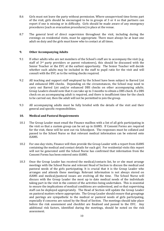- 8.6 Girls must not leave the party without permission. Where unsupervised time forms part of the visit, girls should be encouraged to be in groups of 3 or 4 so that partners can report if one is missing or in difficulty. Girls should be made aware of any emergency procedures (such as evacuation procedures) in place at the venue.
- 8.7 The general level of direct supervision throughout the visit, including during the evenings on residential visits, must be appropriate. There must always be at least one adult on duty and the girls must know who to contact at all times.

## **9. Other Accompanying Adults**

- 9.1 If other adults who are not members of the School's staff are to accompany the visit (e.g. staff of 3rd party providers or parent volunteers), this should be discussed with the Senior Teacher or the EVC at the earliest opportunity. The Senior Teacher will decide whether such adults may be included in the staff to pupil ratio for the visit and will consult with the EVC as to the vetting checks required.
- 9.2 All teaching and support staff employed by the School have been subject to Barred List and enhanced DBS checks. Depending on the circumstances, the School may need to carry out Barred List and/or enhanced DBS checks on other accompanying adults. Group Leaders should note that it can take up to 3 months to obtain a DBS check. If a DBS check on an accompanying adult is required, and there is insufficient time for the check to be carried out, then the adult will not be permitted to join the group.
- 9.3 All accompanying adults must be fully briefed with the details of the visit and their general and specific responsibilities.

## **10. Medical and Pastoral Requirements**

- 10.1 The Group Leader must email the Finance mailbox with a list of all girls participating in the visit so that a custom group can be set up in iSAMS. If Consent Forms are required for the visit, these will be sent out via Schoolpost. The responses must be collated and passed to the School Nurse so that relevant medical information can be entered onto iSAMS.
- 10.2 For one-day visits, Finance will then provide the Group Leader with a report from iSAMS containing the medical and contact details for each girl. For residential visits this report will not be generated until the School Nurse has confirmed that information from the Consent Forms has been entered onto iSAMS.
- 10.3 Once the Group Leader has received the medical/contacts list, he or she must arrange meetings with the School Nurse and relevant Head of Section to discuss the medical and pastoral needs of the girls participating. It is crucial that it is the Group Leader who arranges and attends these meetings. Relevant information is not always stored on iSAMS and medical/pastoral issues are evolving all the time. The School Nurse will discuss with the Group Leader the most up to date medical needs of the individuals taking part in the visit in the context of the activities being undertaken. This is essential to ensure the implications of medical conditions are understood, and so that supervising staff can be deployed appropriately. The Head of Section will update the Group Leader on pastoral matters where appropriate. The Group Leader should ensure that groupings and pairings are sympathetic to the medical or pastoral needs of girls participating, especially if concerns are raised by the Head of Section. The meetings should take place before the risk assessment and checklist are finalised and passed to the EVC. Any additional risk factors, identified during the meetings, should be noted on the risk assessment.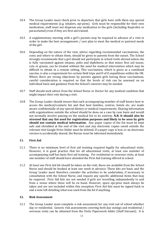- 10.4 The Group Leader must check prior to departure that girls have with them any special medical requirements (e.g. inhalers, epi-pens). Girls must be responsible for their own medication; staff must not dispense any medication to the girls (including ibuprofen or paracetamol) even if they are first aid trained.
- 10.5 A supplementary meeting with a girl's parents may be required in advance of a visit in order to make the best arrangements / care plan to meet the medical or pastoral needs of the girl.
- 10.6 Depending on the nature of the visit, advice regarding recommended vaccinations, the costs and where to obtain them, should be given to parents from the outset. The School strongly recommends that a girl should not participate in school visits abroad unless she is fully vaccinated against tetanus, polio and diphtheria so that minor first aid issues, cuts or grazes, can be treated without the need for medical intervention which may be difficult to obtain in a remote setting. This vaccination, which is given as a combined vaccine, is also a requirement for certain field trips and D of E expeditions within the UK. Where there are strong objections by parents against girls having these vaccinations, careful consideration is required so that the levels of risk can be assessed on an individual basis and guidance from the School's insurers may be needed.
- 10.7 Staff should seek advice from the School Nurse or Doctor for any medical condition that might impact their role during a visit.
- 10.8 The Group Leader should ensure that each accompanying member of staff knows how to access the medical/contacts list and that host families, centres, hotels etc. are made aware confidentially of any special dietary or medical requirements. Sharing information with organisations outside the school should be done on a case by case basis and would not normally involve passing on the medical list in its entirety. **N.B. It should also be stressed that any list used for registration purposes and likely to be seen by girls should not contain medical information.** Any paper copies of the list must be kept safe and shredded at the end of the visit and any electronic copies saved outside the relevant visit Google Drive folder must be deleted. If a paper copy is lost, or an electronic version is accidentally shared, the Bursar must be informed immediately.

## **11. First Aid**

- 11.1 There is no minimum level of first aid training required legally for educational visits. However, it is good practice that for all educational visits, at least one member of accompanying staff has basic first aid training. For residential or overseas visits, at least one member of staff should have attended the First Aid training offered in school.
- 11.2 At least one First Aid kit should be taken on the visit; these are available from the School Nurse and should be booked at least one week in advance. These kits are basic and the Group Leader must therefore consider the activities to be undertaken, if necessary in consultation with the School Nurse, and request any specific additional items that may be required. First Aid kits are not needed if girls are travelling independently to and from a venue where these will be on hand. However, spare epi-pens must always be taken and are not included within this exception. First Aid kits must be signed back in and a note left detailing what was used from the kit if anything.

#### **12. Risk Assessment**

12.1 The Group Leader must complete a risk assessment for any visit out of school whether day or residential. Generic risk assessments covering both day outings and residential / overseas visits can be obtained from the Visits Paperwork folder (Staff Intranet). It is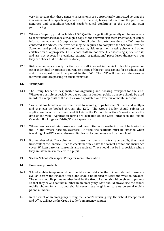very important that these generic assessments are appropriately annotated so that the risk assessment is specifically adapted for the visit, taking into account the particular activities and capabilities/special needs/medical conditions of the girls and staff participating.

- 12.2 Where a 3<sup>rd</sup> party provider holds a LOtC Quality Badge it will generally not be necessary to seek further assurance although a copy of the relevant risk assessment and/or safety information may assist Group Leaders. .For all other 3rd party providers the EVC must be contacted for advice. The provider may be required to complete the School's Provider Statement and provide evidence of insurance, risk assessment, vetting checks and other certification as appropriate. (NB. School staff are not experts at assessing specialist risk, and are not expected to evaluate external organisations' procedures themselves, but they can check that this has been done.)
- 12.3 Risk assessments are only for the use of staff involved in the visit. Should a parent, or other individual or organisation request a copy of the risk assessment for an educational visit, the request should be passed to the EVC. The EVC will remove references to individuals before passing on any information.

## **13. Transport**

- 13.1 The Group Leader is responsible for organising and booking transport for the visit. Wherever possible, especially for day outings in London, public transport should be used in order to keep costs of the visit as low as possible, and for environmental reasons.
- 13.2 Transport for London offers free travel to school groups between 9:50am and 4:30pm and this can be booked through the EVC. The Group Leader should submit an application form for the free travel tickets to the EVC not later than 3 weeks before the date of the visit. Application forms are available on the Staff Intranet in the folder: Calendar, Bookings and Visits/Visits Paperwork.
- 13.3 Where coaches and mini-buses are used, ones fitted with seatbelts should be booked in the UK and, where possible, overseas. If fitted, the seatbelts must be fastened when travelling. The EVC can advise on suitable coach companies used by the school.
- 13.4 If a member of staff or volunteer is to use their own car to transport pupils, they must first contact the Finance Office to check that they have the correct licence and insurance cover. Written parental consent is also required. They should not be in a position where they are alone in a vehicle with a pupil.
- 13.5 See the School's Transport Policy for more information.

## **14. Emergency Contacts**

- 14.1 School mobile telephones should be taken for visits in the UK and abroad; these are available from the Finance Office, and should be booked at least one week in advance. The school mobile phone number held by the Group Leader should be given to parents so that they have a contact number in an emergency. Staff should always use the school mobile phones for visits, and should never issue to girls or parents personal mobile phone numbers.
- 14.2 In the event of an emergency during the School's working day, the School Receptionist and Office will act as the Group Leader's emergency contact.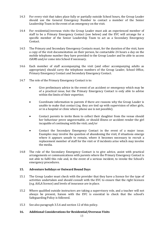- 14.3 For every visit that takes place fully or partially outside School hours, the Group Leader should use the General Emergency Number to contact a member of the Senior Leadership Team in the event of an emergency on the visit.
- 14.4 For residential/overseas visits the Group Leader must ask an experienced member of staff to be a Primary Emergency Contact (see below) and the EVC will arrange for a specific member of the Senior Leadership Team to act as a Secondary Emergency Contact.
- 14.5 The Primary and Secondary Emergency Contacts must, for the duration of the visit, have a copy of the visit documentation on their person, be contactable 24 hours a day on the mobile telephone number they have provided to the Group Leader and be able to access iSAMS and/or come into School if necessary.
- 14.6 Each member of staff accompanying the visit (and other accompanying adults as appropriate) should carry the telephone numbers of the Group Leader, School Office, Primary Emergency Contact and Secondary Emergency Contact.
- 14.7 The role of the Primary Emergency Contact is to:
	- Give preliminary advice in the event of an accident or emergency which may be of a practical issue, but the Primary Emergency Contact is only able to advise within the limits of their expertise;
	- Coordinate information to parents if there are reasons why the Group Leader is unable to make that contact (eg. they are tied up with supervision of other girls, or in a hospital or clinic where phone use is not possible).
	- Contact parents to invite them to collect their daughter from the venue should her behaviour prove ungovernable, or should illness or accident render the girl incapable of continuing with the visit; and/or
	- Contact the Secondary Emergency Contact in the event of a major issue. Examples may involve the question of abandoning the visit, if situations emerge where it appears unsafe to remain, where it becomes necessary to recruit a replacement member of staff for the visit or if incidents arise which may involve the media.
- 14.8 The role of the Secondary Emergency Contact is to give advice, assist with practical arrangements or communications with parents where the Primary Emergency Contact is not able to fulfil this role and, in the event of a serious incident, to invoke the School's emergency procedures.

## **15. Adventure holidays or Outward Bound Days**

- 15.1 The Group Leader must check with the provider that they have a licence for the type of activities undertaken and should consult with the EVC to ensure that the right licences (e.g. AALA licence) and levels of insurance are in place.
- 15.2 Where qualified outside instructors are taking a supervisory role, and a teacher will not always be present, liaison with the EVC is essential to check that the school's Safeguarding Policy is followed.
- 15.3 See also paragraph 3.5.6 and section 12 of this policy.

## **16. Additional Considerations for Residential/Overseas Visits**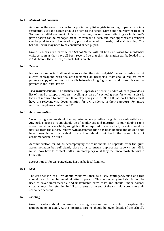## 16.1 *Medical and Pastoral*

As soon as the Group Leader has a preliminary list of girls intending to participate in a residential visit, the names should be sent to the School Nurse and the relevant Head of Section for initial comment. This is so that any serious issues affecting an individual's participation can be managed carefully from the outset, and that appropriate attention can be paid to special educational, pastoral or medical needs, and staff training. The School Doctor may need to be consulted or see pupils.

Group Leaders must provide the School Nurse with all Consent Forms for residential visits as soon as they have all been received so that this information can be loaded into iSAMS before the medical/contacts list is created.

#### 16.2 *Travel*

Names on passports: Staff must be aware that the details of girls' names on iSAMS do not always correspond with the official names on passports. Staff should request from parents a copy of the passport details before booking flights, etc., and make this clear to parents in the initial letters.

*Visa waiver scheme***:** The British Council operates a scheme under which it provides a list of non-EU passport holders travelling as part of a school group, for whom a visa is then not required to enter the EU country being visited. Non-EU passport holders must have the relevant visa documentation for UK residency in their passports. For more information please contact the EVC.

#### 16.3 *Accommodation*

Twin or single rooms should be requested where possible for girls on a residential visit. Any girls sharing a room should be of similar age and maturity. If only double room accommodation is available, and girls will be required to share a bed, parents should be notified from the outset. Where twin accommodation has been booked and double beds have been issued on arrival, the school should not book the same place of accommodation in future.

Accommodation for adults accompanying the visit should be separate from the girls' accommodation but sufficiently close so as to ensure appropriate supervision. Girls must know how to contact staff in an emergency or if they feel uncomfortable with a situation.

See section 17 for visits involving hosting by local families.

#### 16.4 *Cost*

The cost per girl of all residential visits will include a 10% contingency fund and this should be explained in the initial letter to parents. This contingency fund should only be used to cover unforeseeable and unavoidable extra costs and should, under normal circumstances, be refunded in full to parents at the end of the visit via a credit to their school fee account.

#### 16.5 *Briefing*

Group Leaders should arrange a briefing meeting with parents to explain the arrangements in detail. At this meeting, parents should be given details of the school's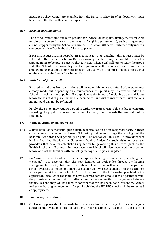insurance policy. Copies are available from the Bursar's office. Briefing documents must be given to the EVC with all other paperwork.

### 16.6 *Bespoke arrangements*

The School cannot undertake to provide for individual, bespoke, arrangements for girls to join or disperse from visits overseas as, for girls aged under 18, such arrangements are not supported by the School's insurers. The School Office will automatically insert a sentence to this effect in the draft letter to parents.

If parents request such a bespoke arrangement for their daughter, this request must be referred to the Senior Teacher or EVC as soon as possible. It may be possible for written arrangements to be put in place so that it is clear when a girl will join or leave the group and the School's responsibility in loco parentis will begin and end. Any such arrangements must not compromise the group's activities and must only be entered into on the advice of the Senior Teacher or EVC.

### 16.7 *Withdrawal from a visit*

If a pupil withdraws from a visit there will be no entitlement to a refund of any payments already made but, depending on circumstances, the pupil may be covered under the School's travel insurance policy. If a pupil leaves the School after signing up to a visit but before the visit takes place, she will be deemed to have withdrawn from the visit and any monies paid will not be refunded.

Rarely, the School may require a pupil to withdraw from a visit. If this is due to concerns regarding the pupil's behaviour, any amount already paid towards the visit will not be refunded.

## **17. Homestays and Exchange Visits**

- 17.1 *Homestays*: For some visits, girls stay in host families on a non-reciprocal basis. In these circumstances, the School will use a 3rd party provider to arrange the hosting and the host families abroad will generally be paid. The School will only use UK providers that hold a Learning Outside the Classroom Quality Badge for such visits or overseas providers that have an established reputation for providing this service (such as the British Institute in Florence). In most cases, the School will also have used the provider before and will be familiar with the safety management system in place.
- 17.2 *Exchanges*: For visits where there is a reciprocal hosting arrangement (e.g. a language exchange), it is essential that the host families on both sides discuss the hosting arrangements directly between themselves. The School will work with the partner school overseas to match and introduce each pupil who has signed up to the exchange with a partner at the other school. This will be based on the information provided in the application form. Once the families have received contact details of their partner family, the parents must make contact to discuss and agree the hosting arrangements between themselves and they will be asked to confirm that this has been done. Where the School makes the hosting arrangements for pupils visiting the UK, DBS checks will be requested as appropriate.

#### **18. Emergency procedures**

18.1 Contingency plans should be made for the care and/or return of a girl (or accompanying adult) in the event of illness or accident or for disciplinary reasons. In the event of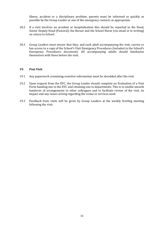illness, accident or a disciplinary problem, parents must be informed as quickly as possible by the Group Leader or one of the emergency contacts as appropriate.

- 18.2 If a visit involves an accident or hospitalisation this should be reported to the Head, Senior Deputy Head (Pastoral), the Bursar and the School Nurse (via email or in writing) on return to School.
- 18.3 Group Leaders must ensure that they, and each adult accompanying the visit, carries or has access to a copy of the School's Visit Emergency Procedures (included in the School's Emergency Procedures document). All accompanying adults should familiarise themselves with these before the visit.

### **19. Post Visit**

- 19.1 Any paperwork containing sensitive information must be shredded after the visit.
- 19.2 Upon request from the EVC, the Group Leader should complete an Evaluation of a Visit Form handing one to the EVC and retaining one in departments. This is to enable smooth handover of arrangements to other colleagues and to facilitate review of the visit, its impact and any issues arising regarding the venue or services used.
- 19.3 Feedback from visits will be given by Group Leaders at the weekly briefing meeting following the visit.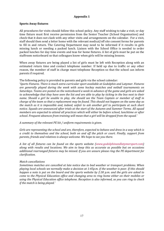## **Appendix 1**

## **Sports Away fixtures**

All procedures for visits should follow this school policy. Any staff wishing to take a visit, or day time fixture must first receive permission from the Senior Teacher (School Organisation) and check that it does not clash with any other visits and arrangements on the calendar. For a visit, staff should then send a letter home with the relevant medical/off site consent forms for parents to fill in and return. The Catering Department may need to be informed if it results in girls missing lunch or needing a packed lunch. Liaison with the School Office is needed to order packed lunches for day time events and teas for home fixtures. A list of girls must be put on the staffroom noticeboard so that colleagues know when girls will be missing lessons.

When away fixtures are being played a list of girls must be left with Reception along with an estimated return time and contact telephone number. If held up due to traffic or any other reason, the member of staff in charge must telephone Reception so that the school can inform parents if required.

The following policy is provided to parents and girls via the school calendar:

'*Sports Fixtures. There is much extra-curricular sport available at Godolphin and Latymer. Fixtures are generally played during the week with some hockey matches and netball tournaments on Saturdays. Teams are posted on the noticeboard a week in advance of the game and girls are asked to acknowledge that they have seen the list and are able to play by ticking in the box next to their name. Should a girl be unable to play, she should see the Team Captain or member of staff in charge of the team so that a replacement may be found. This should not happen on the same day as the match as it is impossible and, indeed, unfair to ask another girl to participate at such short notice. Squads are announced after trials at the start of the Autumn and Summer Terms. All squad members are expected to attend all practices which will either be before school, lunchtime or after school. Frequent absences from training will mean that a girl will be dropped from the squad.'* 

*A summary of the relevant PE kit / uniform requirements is given.* 

*Girls are representing the school and are, therefore, expected to behave and dress in a way which is a credit to themselves and the school, both on and off the pitch or court. Finally, support from parents, friends and relatives is always welcome. We hope to see you there.*

*A list of all fixtures can be found on the sports website (www.godolphinandlatymersport.com) along with results and locations. We aim to keep this as accurate as possible but on occasions additional rearranged fixtures may be missed. If you are unsure please ring the PE department for clarification.*

#### *Match cancellations*

*Sometimes matches are cancelled at late notice due to bad weather or transport problems. When playing local schools we normally make a decision at 1:45p.m. if the weather is poor. If this should happen a note is put on the board and the sports website by 2:30 p.m. and the girls are asked to come to the Physical Education office and changing area to ring home either on their mobiles or using the Physical Education office telephone. Reception is also informed, so you can ring to check if the match is being played.'*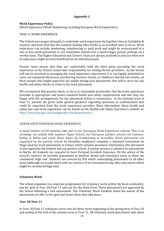## **Appendix 2**

## **Work Experience Policy**

(Work Experience/Work Shadowing, including European Work Experience)

## YEAR 11 WORK EXPERIENCE

The School encourages all pupils to undertake work experience during their time at Godolphin & Latymer and most find that the summer holiday after GCSEs is an excellent time to do so. Work experience can include shadowing, volunteering or paid work and might be concentrated in a one or two-week placement or can sometimes extend over a much longer period, perhaps on a weekly basis. The Higher Education and Careers Team are always available to discuss what sort of experience might be most beneficial for an individual pupil.

Parents must ensure that they are comfortable with the third party providing the work experience as the School cannot take responsibility for vetting chosen providers. As the School will not be involved in arranging the work experience placements it is not legally permitted to carry out enhanced Disclosure and Barring Services checks, or Children's Barred List checks, on those people who might supervise our pupils during such placements. Nor will it carry out any health and safety checks or visits to the work placement.

We recommend that parents check, so far as is reasonably practicable, that the work experience provider is appropriate and meets standard health and safety requirements and that they are happy with the arrangements for the placement before it commences. In the Autumn term of Year 11, parents are given some general guidance regarding questions or confirmations that could be requested from the work experience provider. More information about health and safety law and work experience can be found on the Health and Safety Executive's website at: <http://www.hse.gov.uk/youngpeople/workexperience/>.

#### LOWER SIXTH EUROPEAN WORK EXPERIENCE

A small number of LVI students take part in our European Work Experience scheme. This is an exchange run jointly with Latymer Upper School, our European partner schools are Canisius-Kolleg in Berlin and Lycée Notre Dame du Grandchamp in Versailles. Work placements are organised by the partner school. In Versailles employers complete a standard Convention de Stage used for work placements in France which includes insurance information; this document is also signed by the student and our partner school. A similar process is adopted for placements in Berlin. All students are required to have Personal Accident Insurance. On the advice of the school's insurers we prohibit placements in medical, dental and veterinary areas as these are considered 'high risk'. Students are covered by PAI whilst undertaking placements in all other areas (although we would check with our insurers if we encountered any other placement which might be considered high risk).

## **Voluntary Work**

The school organises two separate programmes for voluntary work within the local community, one for girls in Year 10/Year 11 and one for the Sixth Form. These placements are approved by the School following a risk assessment. The Voluntary Work booklets detail the nature of the placements on offer to the girls and times when they take place.

## *Year 10/Year 11*

In Year 10/Year 11 voluntary work runs for three terms beginning in the spring term of Year 10 and ending at the end of the autumn term in Year 11. All voluntary work placements take place